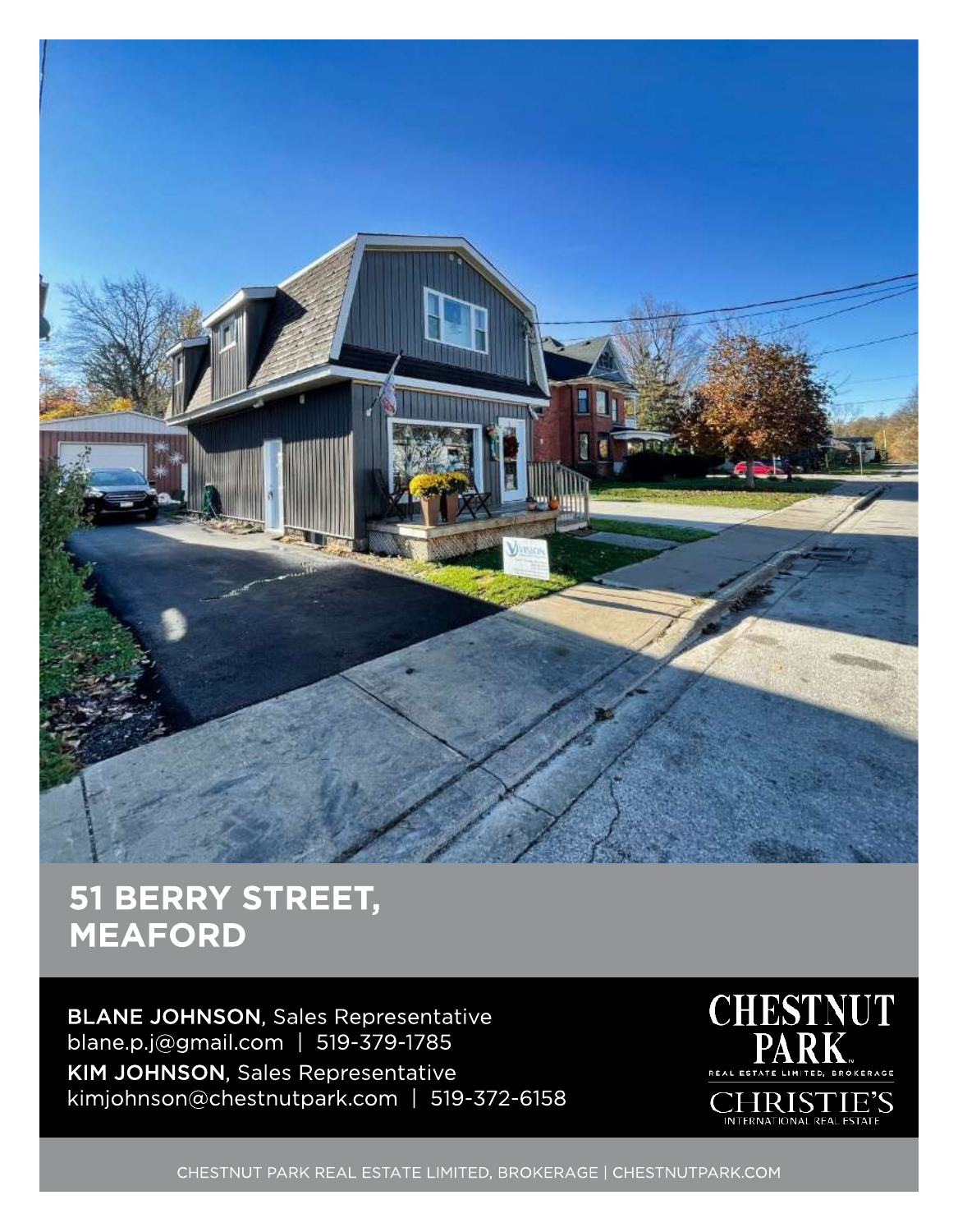

## 51 BERRY STREET, MEAFORD

BLANE JOHNSON, Sales Representative blane.p.j@gmail.com | 519-379-1785 KIM JOHNSON, Sales Representative kimjohnson@chestnutpark.com | 519-372-6158



CHESTNUT PARK REAL ESTATE LIMITED, BROKERAGE | CHESTNUTPARK.COM